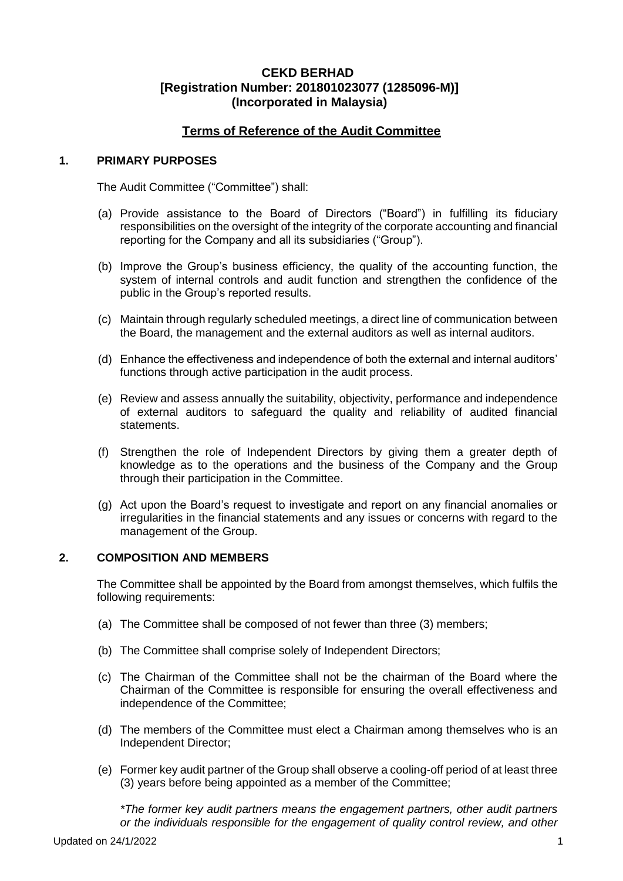## **Terms of Reference of the Audit Committee**

#### **1. PRIMARY PURPOSES**

The Audit Committee ("Committee") shall:

- (a) Provide assistance to the Board of Directors ("Board") in fulfilling its fiduciary responsibilities on the oversight of the integrity of the corporate accounting and financial reporting for the Company and all its subsidiaries ("Group").
- (b) Improve the Group's business efficiency, the quality of the accounting function, the system of internal controls and audit function and strengthen the confidence of the public in the Group's reported results.
- (c) Maintain through regularly scheduled meetings, a direct line of communication between the Board, the management and the external auditors as well as internal auditors.
- (d) Enhance the effectiveness and independence of both the external and internal auditors' functions through active participation in the audit process.
- (e) Review and assess annually the suitability, objectivity, performance and independence of external auditors to safeguard the quality and reliability of audited financial statements.
- (f) Strengthen the role of Independent Directors by giving them a greater depth of knowledge as to the operations and the business of the Company and the Group through their participation in the Committee.
- (g) Act upon the Board's request to investigate and report on any financial anomalies or irregularities in the financial statements and any issues or concerns with regard to the management of the Group.

### **2. COMPOSITION AND MEMBERS**

The Committee shall be appointed by the Board from amongst themselves, which fulfils the following requirements:

- (a) The Committee shall be composed of not fewer than three (3) members;
- (b) The Committee shall comprise solely of Independent Directors;
- (c) The Chairman of the Committee shall not be the chairman of the Board where the Chairman of the Committee is responsible for ensuring the overall effectiveness and independence of the Committee;
- (d) The members of the Committee must elect a Chairman among themselves who is an Independent Director;
- (e) Former key audit partner of the Group shall observe a cooling-off period of at least three (3) years before being appointed as a member of the Committee;

*\*The former key audit partners means the engagement partners, other audit partners or the individuals responsible for the engagement of quality control review, and other*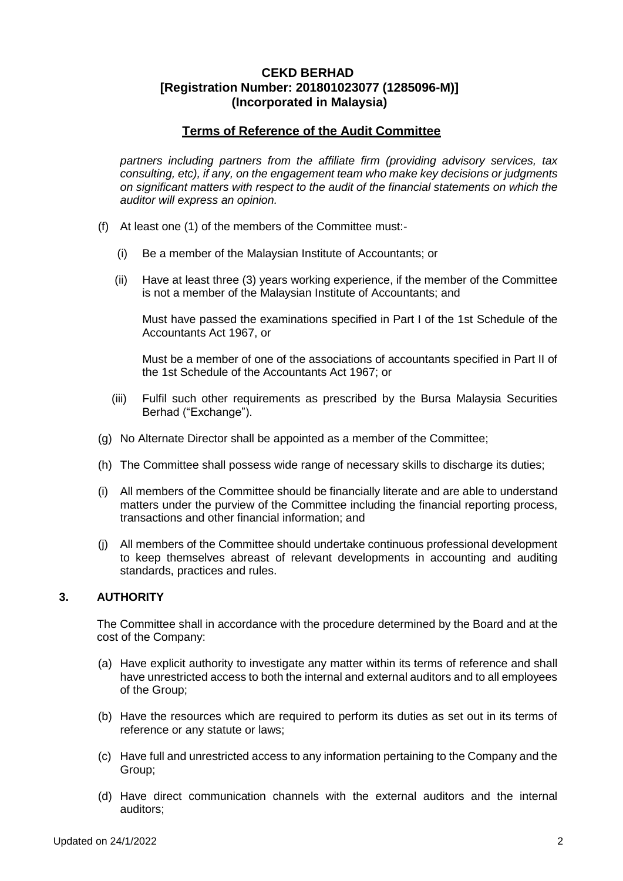## **Terms of Reference of the Audit Committee**

*partners including partners from the affiliate firm (providing advisory services, tax consulting, etc), if any, on the engagement team who make key decisions or judgments on significant matters with respect to the audit of the financial statements on which the auditor will express an opinion.*

- (f) At least one (1) of the members of the Committee must:-
	- (i) Be a member of the Malaysian Institute of Accountants; or
	- (ii) Have at least three (3) years working experience, if the member of the Committee is not a member of the Malaysian Institute of Accountants; and

Must have passed the examinations specified in Part I of the 1st Schedule of the Accountants Act 1967, or

Must be a member of one of the associations of accountants specified in Part II of the 1st Schedule of the Accountants Act 1967; or

- (iii) Fulfil such other requirements as prescribed by the Bursa Malaysia Securities Berhad ("Exchange").
- (g) No Alternate Director shall be appointed as a member of the Committee;
- (h) The Committee shall possess wide range of necessary skills to discharge its duties;
- (i) All members of the Committee should be financially literate and are able to understand matters under the purview of the Committee including the financial reporting process, transactions and other financial information; and
- (j) All members of the Committee should undertake continuous professional development to keep themselves abreast of relevant developments in accounting and auditing standards, practices and rules.

### **3. AUTHORITY**

The Committee shall in accordance with the procedure determined by the Board and at the cost of the Company:

- (a) Have explicit authority to investigate any matter within its terms of reference and shall have unrestricted access to both the internal and external auditors and to all employees of the Group;
- (b) Have the resources which are required to perform its duties as set out in its terms of reference or any statute or laws;
- (c) Have full and unrestricted access to any information pertaining to the Company and the Group;
- (d) Have direct communication channels with the external auditors and the internal auditors;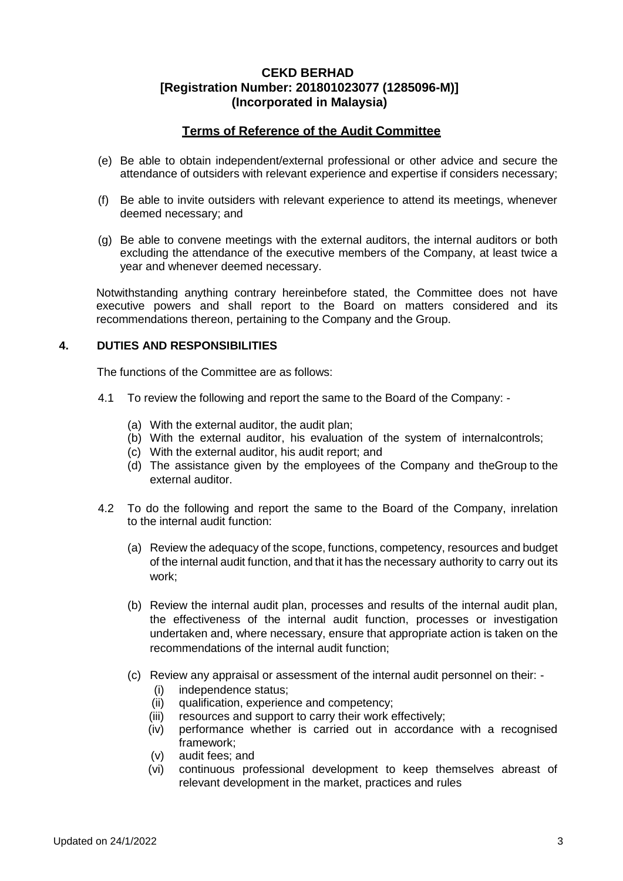## **Terms of Reference of the Audit Committee**

- (e) Be able to obtain independent/external professional or other advice and secure the attendance of outsiders with relevant experience and expertise if considers necessary;
- (f) Be able to invite outsiders with relevant experience to attend its meetings, whenever deemed necessary; and
- (g) Be able to convene meetings with the external auditors, the internal auditors or both excluding the attendance of the executive members of the Company, at least twice a year and whenever deemed necessary.

Notwithstanding anything contrary hereinbefore stated, the Committee does not have executive powers and shall report to the Board on matters considered and its recommendations thereon, pertaining to the Company and the Group.

### **4. DUTIES AND RESPONSIBILITIES**

The functions of the Committee are as follows:

- 4.1 To review the following and report the same to the Board of the Company:
	- (a) With the external auditor, the audit plan;
	- (b) With the external auditor, his evaluation of the system of internalcontrols;
	- (c) With the external auditor, his audit report; and
	- (d) The assistance given by the employees of the Company and theGroup to the external auditor.
- 4.2 To do the following and report the same to the Board of the Company, inrelation to the internal audit function:
	- (a) Review the adequacy of the scope, functions, competency, resources and budget of the internal audit function, and that it has the necessary authority to carry out its work;
	- (b) Review the internal audit plan, processes and results of the internal audit plan, the effectiveness of the internal audit function, processes or investigation undertaken and, where necessary, ensure that appropriate action is taken on the recommendations of the internal audit function;
	- (c) Review any appraisal or assessment of the internal audit personnel on their:
		- (i) independence status;
		- (ii) qualification, experience and competency;
		- (iii) resources and support to carry their work effectively;
		- (iv) performance whether is carried out in accordance with a recognised framework;
		- (v) audit fees; and
		- (vi) continuous professional development to keep themselves abreast of relevant development in the market, practices and rules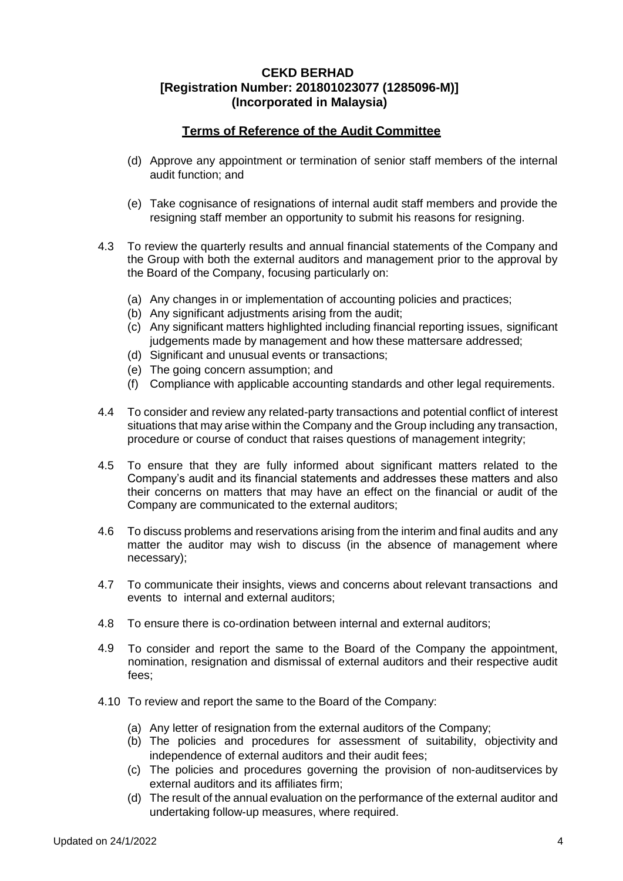# **Terms of Reference of the Audit Committee**

- (d) Approve any appointment or termination of senior staff members of the internal audit function; and
- (e) Take cognisance of resignations of internal audit staff members and provide the resigning staff member an opportunity to submit his reasons for resigning.
- 4.3 To review the quarterly results and annual financial statements of the Company and the Group with both the external auditors and management prior to the approval by the Board of the Company, focusing particularly on:
	- (a) Any changes in or implementation of accounting policies and practices;
	- (b) Any significant adjustments arising from the audit;
	- (c) Any significant matters highlighted including financial reporting issues, significant judgements made by management and how these mattersare addressed;
	- (d) Significant and unusual events or transactions;
	- (e) The going concern assumption; and
	- (f) Compliance with applicable accounting standards and other legal requirements.
- 4.4 To consider and review any related-party transactions and potential conflict of interest situations that may arise within the Company and the Group including any transaction, procedure or course of conduct that raises questions of management integrity;
- 4.5 To ensure that they are fully informed about significant matters related to the Company's audit and its financial statements and addresses these matters and also their concerns on matters that may have an effect on the financial or audit of the Company are communicated to the external auditors;
- 4.6 To discuss problems and reservations arising from the interim and final audits and any matter the auditor may wish to discuss (in the absence of management where necessary);
- 4.7 To communicate their insights, views and concerns about relevant transactions and events to internal and external auditors;
- 4.8 To ensure there is co-ordination between internal and external auditors;
- 4.9 To consider and report the same to the Board of the Company the appointment, nomination, resignation and dismissal of external auditors and their respective audit fees;
- 4.10 To review and report the same to the Board of the Company:
	- (a) Any letter of resignation from the external auditors of the Company;
	- (b) The policies and procedures for assessment of suitability, objectivity and independence of external auditors and their audit fees;
	- (c) The policies and procedures governing the provision of non-auditservices by external auditors and its affiliates firm;
	- (d) The result of the annual evaluation on the performance of the external auditor and undertaking follow-up measures, where required.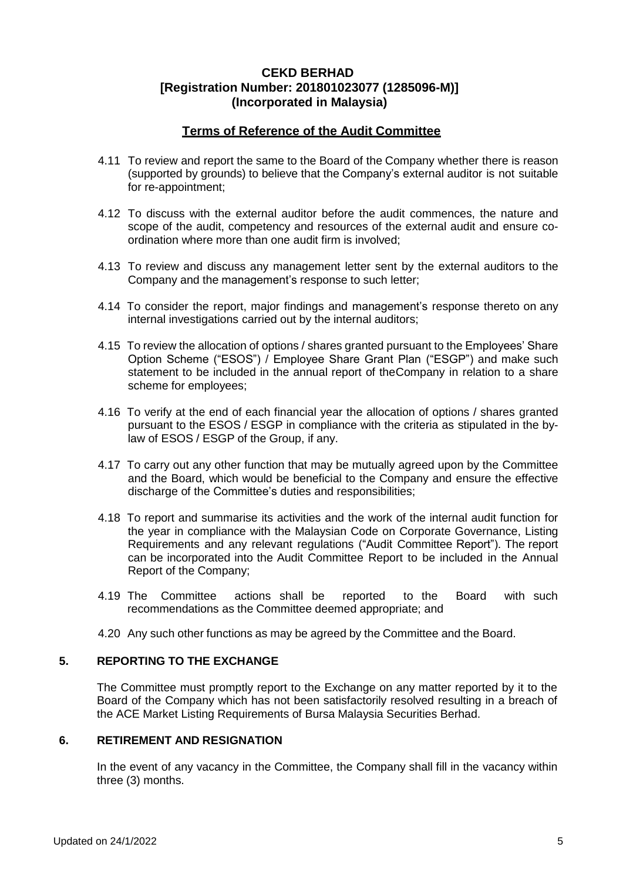## **Terms of Reference of the Audit Committee**

- 4.11 To review and report the same to the Board of the Company whether there is reason (supported by grounds) to believe that the Company's external auditor is not suitable for re-appointment;
- 4.12 To discuss with the external auditor before the audit commences, the nature and scope of the audit, competency and resources of the external audit and ensure coordination where more than one audit firm is involved;
- 4.13 To review and discuss any management letter sent by the external auditors to the Company and the management's response to such letter;
- 4.14 To consider the report, major findings and management's response thereto on any internal investigations carried out by the internal auditors;
- 4.15 To review the allocation of options / shares granted pursuant to the Employees' Share Option Scheme ("ESOS") / Employee Share Grant Plan ("ESGP") and make such statement to be included in the annual report of theCompany in relation to a share scheme for employees;
- 4.16 To verify at the end of each financial year the allocation of options / shares granted pursuant to the ESOS / ESGP in compliance with the criteria as stipulated in the bylaw of ESOS / ESGP of the Group, if any.
- 4.17 To carry out any other function that may be mutually agreed upon by the Committee and the Board, which would be beneficial to the Company and ensure the effective discharge of the Committee's duties and responsibilities;
- 4.18 To report and summarise its activities and the work of the internal audit function for the year in compliance with the Malaysian Code on Corporate Governance, Listing Requirements and any relevant regulations ("Audit Committee Report"). The report can be incorporated into the Audit Committee Report to be included in the Annual Report of the Company;
- 4.19 The Committee actions shall be reported to the Board with such recommendations as the Committee deemed appropriate; and
- 4.20 Any such other functions as may be agreed by the Committee and the Board.

### **5. REPORTING TO THE EXCHANGE**

The Committee must promptly report to the Exchange on any matter reported by it to the Board of the Company which has not been satisfactorily resolved resulting in a breach of the ACE Market Listing Requirements of Bursa Malaysia Securities Berhad.

#### **6. RETIREMENT AND RESIGNATION**

In the event of any vacancy in the Committee, the Company shall fill in the vacancy within three (3) months.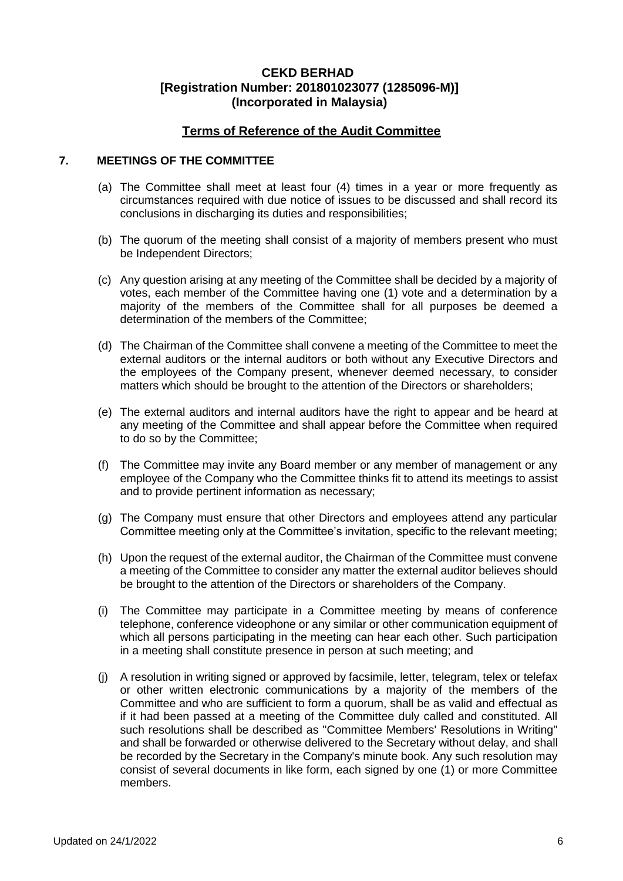## **Terms of Reference of the Audit Committee**

### **7. MEETINGS OF THE COMMITTEE**

- (a) The Committee shall meet at least four (4) times in a year or more frequently as circumstances required with due notice of issues to be discussed and shall record its conclusions in discharging its duties and responsibilities;
- (b) The quorum of the meeting shall consist of a majority of members present who must be Independent Directors;
- (c) Any question arising at any meeting of the Committee shall be decided by a majority of votes, each member of the Committee having one (1) vote and a determination by a majority of the members of the Committee shall for all purposes be deemed a determination of the members of the Committee;
- (d) The Chairman of the Committee shall convene a meeting of the Committee to meet the external auditors or the internal auditors or both without any Executive Directors and the employees of the Company present, whenever deemed necessary, to consider matters which should be brought to the attention of the Directors or shareholders;
- (e) The external auditors and internal auditors have the right to appear and be heard at any meeting of the Committee and shall appear before the Committee when required to do so by the Committee;
- (f) The Committee may invite any Board member or any member of management or any employee of the Company who the Committee thinks fit to attend its meetings to assist and to provide pertinent information as necessary;
- (g) The Company must ensure that other Directors and employees attend any particular Committee meeting only at the Committee's invitation, specific to the relevant meeting;
- (h) Upon the request of the external auditor, the Chairman of the Committee must convene a meeting of the Committee to consider any matter the external auditor believes should be brought to the attention of the Directors or shareholders of the Company.
- (i) The Committee may participate in a Committee meeting by means of conference telephone, conference videophone or any similar or other communication equipment of which all persons participating in the meeting can hear each other. Such participation in a meeting shall constitute presence in person at such meeting; and
- (j) A resolution in writing signed or approved by facsimile, letter, telegram, telex or telefax or other written electronic communications by a majority of the members of the Committee and who are sufficient to form a quorum, shall be as valid and effectual as if it had been passed at a meeting of the Committee duly called and constituted. All such resolutions shall be described as "Committee Members' Resolutions in Writing" and shall be forwarded or otherwise delivered to the Secretary without delay, and shall be recorded by the Secretary in the Company's minute book. Any such resolution may consist of several documents in like form, each signed by one (1) or more Committee members.